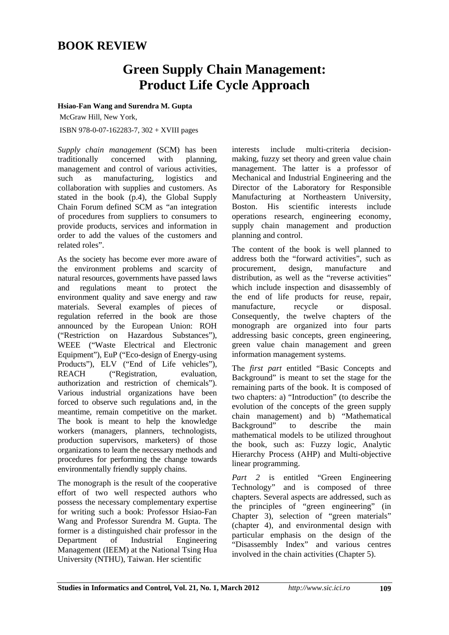## **BOOK REVIEW**

## **Green Supply Chain Management: Product Life Cycle Approach**

**Hsiao-Fan Wang and Surendra M. Gupta** 

McGraw Hill, New York,

ISBN 978-0-07-162283-7, 302 + XVIII pages

*Supply chain management* (SCM) has been traditionally concerned with planning, management and control of various activities, such as manufacturing, logistics and collaboration with supplies and customers. As stated in the book (p.4), the Global Supply Chain Forum defined SCM as "an integration of procedures from suppliers to consumers to provide products, services and information in order to add the values of the customers and related roles".

As the society has become ever more aware of the environment problems and scarcity of natural resources, governments have passed laws and regulations meant to protect the environment quality and save energy and raw materials. Several examples of pieces of regulation referred in the book are those announced by the European Union: ROH ("Restriction on Hazardous Substances"), WEEE ("Waste Electrical and Electronic Equipment"), EuP ("Eco-design of Energy-using Products"), ELV ("End of Life vehicles"), REACH ("Registration, evaluation, authorization and restriction of chemicals"). Various industrial organizations have been forced to observe such regulations and, in the meantime, remain competitive on the market. The book is meant to help the knowledge workers (managers, planners, technologists, production supervisors, marketers) of those organizations to learn the necessary methods and procedures for performing the change towards environmentally friendly supply chains.

The monograph is the result of the cooperative effort of two well respected authors who possess the necessary complementary expertise for writing such a book: Professor Hsiao-Fan Wang and Professor Surendra M. Gupta. The former is a distinguished chair professor in the Department of Industrial Engineering Management (IEEM) at the National Tsing Hua University (NTHU), Taiwan. Her scientific

interests include multi-criteria decisionmaking, fuzzy set theory and green value chain management. The latter is a professor of Mechanical and Industrial Engineering and the Director of the Laboratory for Responsible Manufacturing at Northeastern University, Boston. His scientific interests include operations research, engineering economy, supply chain management and production planning and control.

The content of the book is well planned to address both the "forward activities", such as procurement, design, manufacture and distribution, as well as the "reverse activities" which include inspection and disassembly of the end of life products for reuse, repair, manufacture, recycle or disposal. Consequently, the twelve chapters of the monograph are organized into four parts addressing basic concepts, green engineering, green value chain management and green information management systems.

The *first part* entitled "Basic Concepts and Background" is meant to set the stage for the remaining parts of the book. It is composed of two chapters: a) "Introduction" (to describe the evolution of the concepts of the green supply chain management) and b) "Mathematical Background" to describe the main mathematical models to be utilized throughout the book, such as: Fuzzy logic, Analytic Hierarchy Process (AHP) and Multi-objective linear programming.

*Part 2* is entitled "Green Engineering Technology" and is composed of three chapters. Several aspects are addressed, such as the principles of "green engineering" (in Chapter 3), selection of "green materials" (chapter 4), and environmental design with particular emphasis on the design of the "Disassembly Index" and various centres involved in the chain activities (Chapter 5).